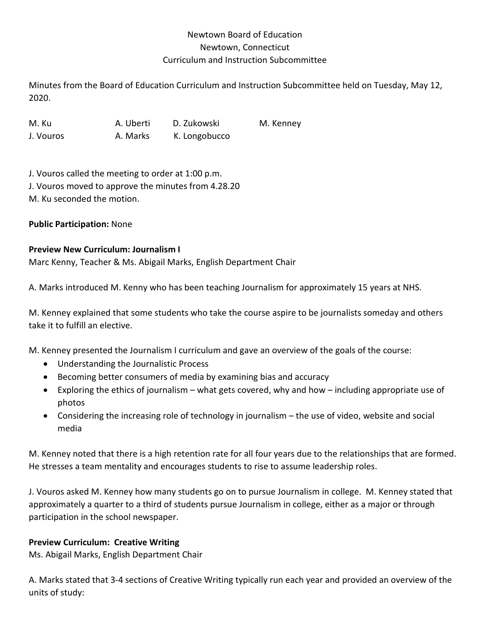## Newtown Board of Education Newtown, Connecticut Curriculum and Instruction Subcommittee

Minutes from the Board of Education Curriculum and Instruction Subcommittee held on Tuesday, May 12, 2020.

M. Ku A. Uberti D. Zukowski M. Kenney J. Vouros **A. Marks** K. Longobucco

J. Vouros called the meeting to order at 1:00 p.m. J. Vouros moved to approve the minutes from 4.28.20 M. Ku seconded the motion.

### **Public Participation:** None

#### **Preview New Curriculum: Journalism I**

Marc Kenny, Teacher & Ms. Abigail Marks, English Department Chair

A. Marks introduced M. Kenny who has been teaching Journalism for approximately 15 years at NHS.

M. Kenney explained that some students who take the course aspire to be journalists someday and others take it to fulfill an elective.

M. Kenney presented the Journalism I curriculum and gave an overview of the goals of the course:

- Understanding the Journalistic Process
- Becoming better consumers of media by examining bias and accuracy
- Exploring the ethics of journalism  $-$  what gets covered, why and how  $-$  including appropriate use of photos
- Considering the increasing role of technology in journalism the use of video, website and social media

M. Kenney noted that there is a high retention rate for all four years due to the relationships that are formed. He stresses a team mentality and encourages students to rise to assume leadership roles.

J. Vouros asked M. Kenney how many students go on to pursue Journalism in college. M. Kenney stated that approximately a quarter to a third of students pursue Journalism in college, either as a major or through participation in the school newspaper.

#### **Preview Curriculum: Creative Writing**

Ms. Abigail Marks, English Department Chair

A. Marks stated that 3-4 sections of Creative Writing typically run each year and provided an overview of the units of study: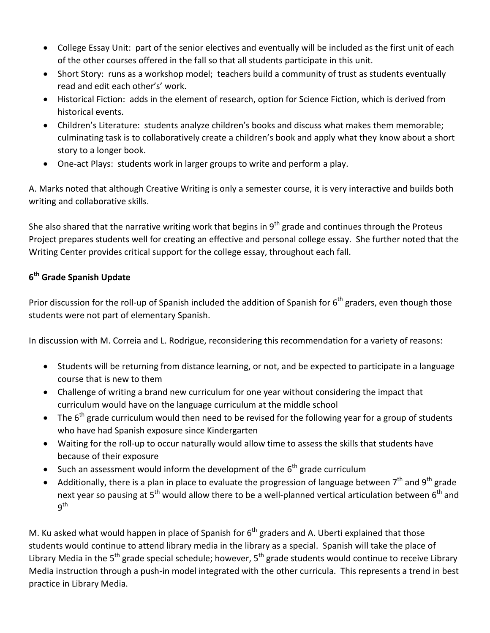- College Essay Unit: part of the senior electives and eventually will be included as the first unit of each of the other courses offered in the fall so that all students participate in this unit.
- Short Story: runs as a workshop model; teachers build a community of trust as students eventually read and edit each other's' work.
- Historical Fiction: adds in the element of research, option for Science Fiction, which is derived from historical events.
- Children's Literature: students analyze children's books and discuss what makes them memorable; culminating task is to collaboratively create a children's book and apply what they know about a short story to a longer book.
- One-act Plays: students work in larger groups to write and perform a play.

A. Marks noted that although Creative Writing is only a semester course, it is very interactive and builds both writing and collaborative skills.

She also shared that the narrative writing work that begins in  $9<sup>th</sup>$  grade and continues through the Proteus Project prepares students well for creating an effective and personal college essay. She further noted that the Writing Center provides critical support for the college essay, throughout each fall.

# **6th Grade Spanish Update**

Prior discussion for the roll-up of Spanish included the addition of Spanish for  $6<sup>th</sup>$  graders, even though those students were not part of elementary Spanish.

In discussion with M. Correia and L. Rodrigue, reconsidering this recommendation for a variety of reasons:

- Students will be returning from distance learning, or not, and be expected to participate in a language course that is new to them
- Challenge of writing a brand new curriculum for one year without considering the impact that curriculum would have on the language curriculum at the middle school
- The  $6<sup>th</sup>$  grade curriculum would then need to be revised for the following year for a group of students who have had Spanish exposure since Kindergarten
- Waiting for the roll-up to occur naturally would allow time to assess the skills that students have because of their exposure
- Such an assessment would inform the development of the  $6<sup>th</sup>$  grade curriculum
- Additionally, there is a plan in place to evaluate the progression of language between  $7<sup>th</sup>$  and 9<sup>th</sup> grade next year so pausing at  $5<sup>th</sup>$  would allow there to be a well-planned vertical articulation between  $6<sup>th</sup>$  and 9th

M. Ku asked what would happen in place of Spanish for  $6<sup>th</sup>$  graders and A. Uberti explained that those students would continue to attend library media in the library as a special. Spanish will take the place of Library Media in the 5<sup>th</sup> grade special schedule; however, 5<sup>th</sup> grade students would continue to receive Library Media instruction through a push-in model integrated with the other curricula. This represents a trend in best practice in Library Media.